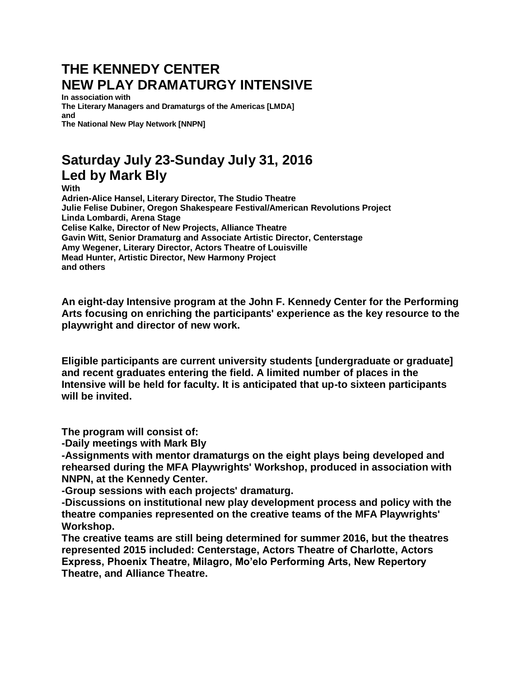## **THE KENNEDY CENTER NEW PLAY DRAMATURGY INTENSIVE**

**In association with The Literary Managers and Dramaturgs of the Americas [LMDA] and The National New Play Network [NNPN]**

## **Saturday July 23-Sunday July 31, 2016 Led by Mark Bly**

**With**

**Adrien-Alice Hansel, Literary Director, The Studio Theatre Julie Felise Dubiner, Oregon Shakespeare Festival/American Revolutions Project Linda Lombardi, Arena Stage Celise Kalke, Director of New Projects, Alliance Theatre Gavin Witt, Senior Dramaturg and Associate Artistic Director, Centerstage Amy Wegener, Literary Director, Actors Theatre of Louisville Mead Hunter, Artistic Director, New Harmony Project and others**

**An eight-day Intensive program at the John F. Kennedy Center for the Performing Arts focusing on enriching the participants' experience as the key resource to the playwright and director of new work.**

**Eligible participants are current university students [undergraduate or graduate] and recent graduates entering the field. A limited number of places in the Intensive will be held for faculty. It is anticipated that up-to sixteen participants will be invited.**

**The program will consist of:**

**-Daily meetings with Mark Bly**

**-Assignments with mentor dramaturgs on the eight plays being developed and rehearsed during the MFA Playwrights' Workshop, produced in association with NNPN, at the Kennedy Center.**

**-Group sessions with each projects' dramaturg.**

**-Discussions on institutional new play development process and policy with the theatre companies represented on the creative teams of the MFA Playwrights' Workshop.**

**The creative teams are still being determined for summer 2016, but the theatres represented 2015 included: Centerstage, Actors Theatre of Charlotte, Actors Express, Phoenix Theatre, Milagro, Mo'elo Performing Arts, New Repertory Theatre, and Alliance Theatre.**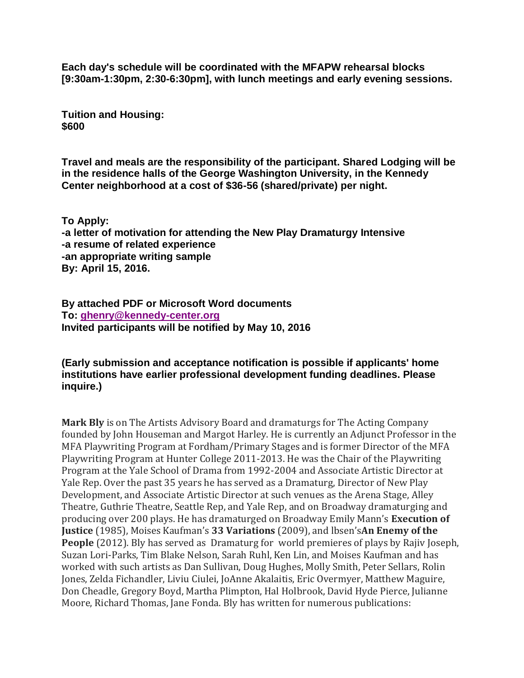**Each day's schedule will be coordinated with the MFAPW rehearsal blocks [9:30am-1:30pm, 2:30-6:30pm], with lunch meetings and early evening sessions.**

**Tuition and Housing: \$600**

**Travel and meals are the responsibility of the participant. Shared Lodging will be in the residence halls of the George Washington University, in the Kennedy Center neighborhood at a cost of \$36-56 (shared/private) per night.**

**To Apply: -a letter of motivation for attending the New Play Dramaturgy Intensive -a resume of related experience -an appropriate writing sample By: April 15, 2016.**

**By attached PDF or Microsoft Word documents To: [ghenry@kennedy-center.org](mailto:ghenry@kennedy-center.org) Invited participants will be notified by May 10, 2016**

## **(Early submission and acceptance notification is possible if applicants' home institutions have earlier professional development funding deadlines. Please inquire.)**

**Mark Bly** is on The Artists Advisory Board and dramaturgs for The Acting Company founded by John Houseman and Margot Harley. He is currently an Adjunct Professor in the MFA Playwriting Program at Fordham/Primary Stages and is former Director of the MFA Playwriting Program at Hunter College 2011-2013. He was the Chair of the Playwriting Program at the Yale School of Drama from 1992-2004 and Associate Artistic Director at Yale Rep. Over the past 35 years he has served as a Dramaturg, Director of New Play Development, and Associate Artistic Director at such venues as the Arena Stage, Alley Theatre, Guthrie Theatre, Seattle Rep, and Yale Rep, and on Broadway dramaturging and producing over 200 plays. He has dramaturged on Broadway Emily Mann's **Execution of Justice** (1985), Moises Kaufman's **33 Variations** (2009), and lbsen's**An Enemy of the People** (2012). Bly has served as Dramaturg for world premieres of plays by Rajiv Joseph, Suzan Lori-Parks, Tim Blake Nelson, Sarah Ruhl, Ken Lin, and Moises Kaufman and has worked with such artists as Dan Sullivan, Doug Hughes, Molly Smith, Peter Sellars, Rolin Jones, Zelda Fichandler, Liviu Ciulei, JoAnne Akalaitis, Eric Overmyer, Matthew Maguire, Don Cheadle, Gregory Boyd, Martha Plimpton, Hal Holbrook, David Hyde Pierce, Julianne Moore, Richard Thomas, Jane Fonda. Bly has written for numerous publications: